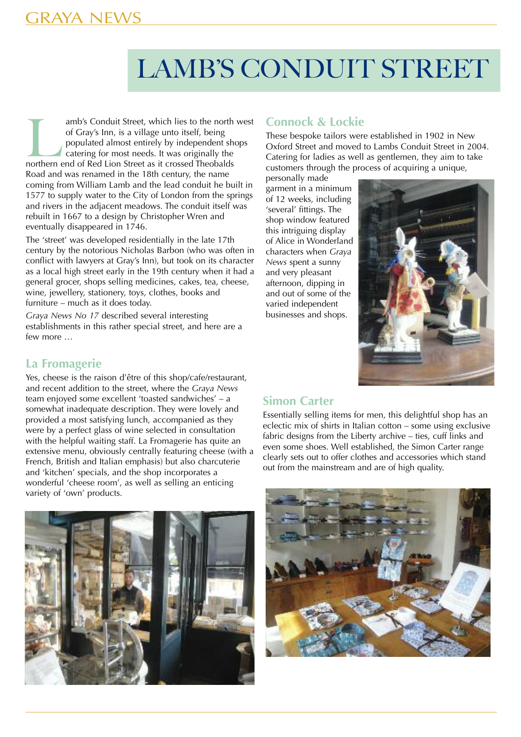# GRAYA NEWS

# LAMB'S CONDUIT STREET

amb's Conduit Street, which lies to the north west of Gray's Inn, is a village unto itself, being populated almost entirely by independent shops catering for most needs. It was originally the northern end of Red Lion Stree of Gray's Inn, is a village unto itself, being populated almost entirely by independent shops catering for most needs. It was originally the Road and was renamed in the 18th century, the name coming from William Lamb and the lead conduit he built in 1577 to supply water to the City of London from the springs and rivers in the adjacent meadows. The conduit itself was rebuilt in 1667 to a design by Christopher Wren and eventually disappeared in 1746.

The 'street' was developed residentially in the late 17th century by the notorious Nicholas Barbon (who was often in conflict with lawyers at Gray's Inn), but took on its character as a local high street early in the 19th century when it had a general grocer, shops selling medicines, cakes, tea, cheese, wine, jewellery, stationery, toys, clothes, books and furniture – much as it does today.

*Graya News No 17* described several interesting establishments in this rather special street, and here are a few more …

#### **Connock & Lockie**

These bespoke tailors were established in 1902 in New Oxford Street and moved to Lambs Conduit Street in 2004. Catering for ladies as well as gentlemen, they aim to take customers through the process of acquiring a unique,

personally made garment in a minimum of 12 weeks, including 'several' fittings. The shop window featured this intriguing display of Alice in Wonderland characters when *Graya News* spent a sunny and very pleasant afternoon, dipping in and out of some of the varied independent businesses and shops.



### **La Fromagerie**

Yes, cheese is the raison d'être of this shop/cafe/restaurant, and recent addition to the street, where the *Graya News* team enjoyed some excellent 'toasted sandwiches' – a somewhat inadequate description. They were lovely and provided a most satisfying lunch, accompanied as they were by a perfect glass of wine selected in consultation with the helpful waiting staff. La Fromagerie has quite an extensive menu, obviously centrally featuring cheese (with a French, British and Italian emphasis) but also charcuterie and 'kitchen' specials, and the shop incorporates a wonderful 'cheese room', as well as selling an enticing variety of 'own' products.

#### **Simon Carter**

Essentially selling items for men, this delightful shop has an eclectic mix of shirts in Italian cotton – some using exclusive fabric designs from the Liberty archive – ties, cuff links and even some shoes. Well established, the Simon Carter range clearly sets out to offer clothes and accessories which stand out from the mainstream and are of high quality.